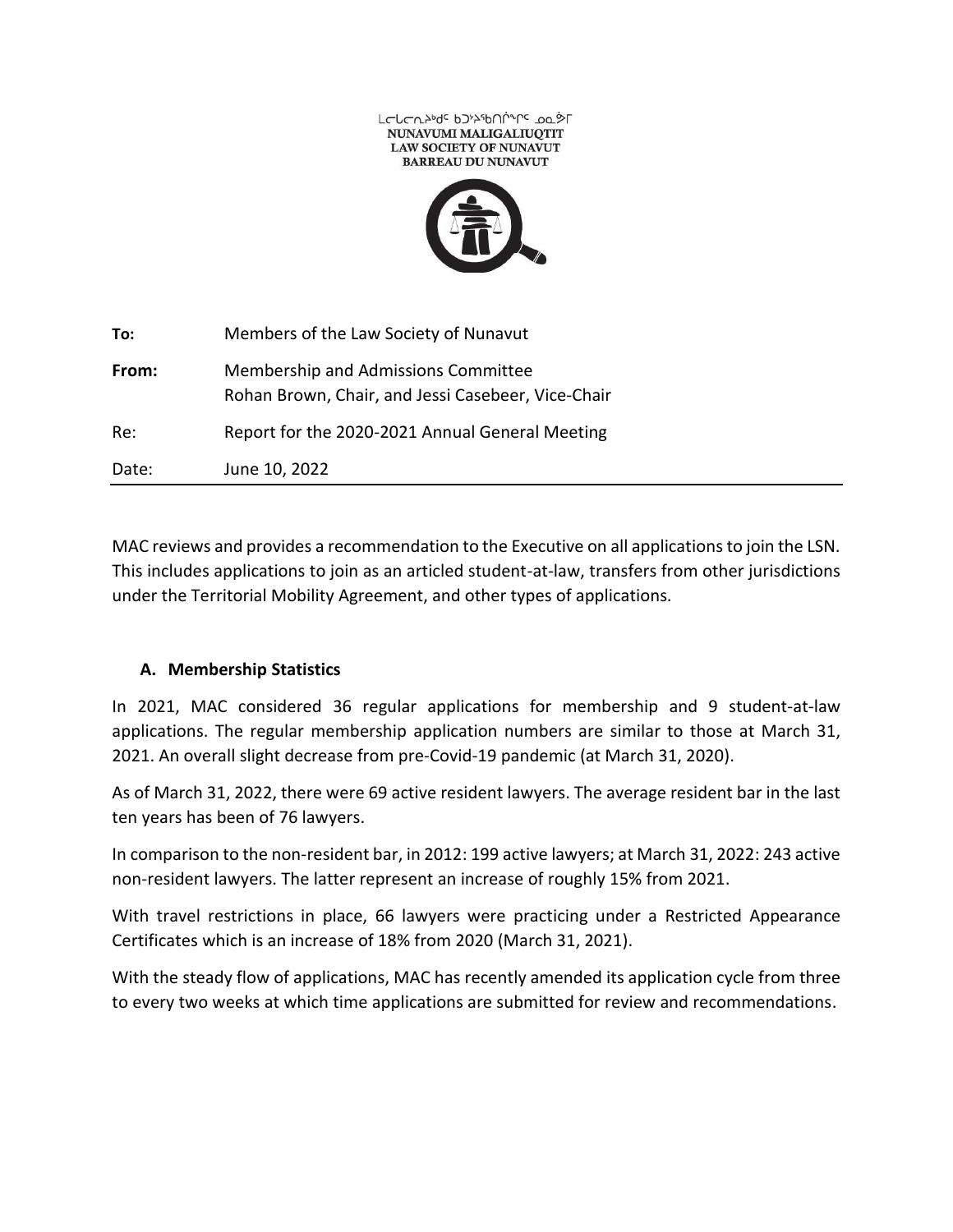

| To:   | Members of the Law Society of Nunavut                                                     |
|-------|-------------------------------------------------------------------------------------------|
| From: | Membership and Admissions Committee<br>Rohan Brown, Chair, and Jessi Casebeer, Vice-Chair |
| Re:   | Report for the 2020-2021 Annual General Meeting                                           |
| Date: | June 10, 2022                                                                             |

MAC reviews and provides a recommendation to the Executive on all applications to join the LSN. This includes applications to join as an articled student-at-law, transfers from other jurisdictions under the Territorial Mobility Agreement, and other types of applications.

# **A. Membership Statistics**

In 2021, MAC considered 36 regular applications for membership and 9 student-at-law applications. The regular membership application numbers are similar to those at March 31, 2021. An overall slight decrease from pre-Covid-19 pandemic (at March 31, 2020).

As of March 31, 2022, there were 69 active resident lawyers. The average resident bar in the last ten years has been of 76 lawyers.

In comparison to the non-resident bar, in 2012: 199 active lawyers; at March 31, 2022: 243 active non-resident lawyers. The latter represent an increase of roughly 15% from 2021.

With travel restrictions in place, 66 lawyers were practicing under a Restricted Appearance Certificates which is an increase of 18% from 2020 (March 31, 2021).

With the steady flow of applications, MAC has recently amended its application cycle from three to every two weeks at which time applications are submitted for review and recommendations.